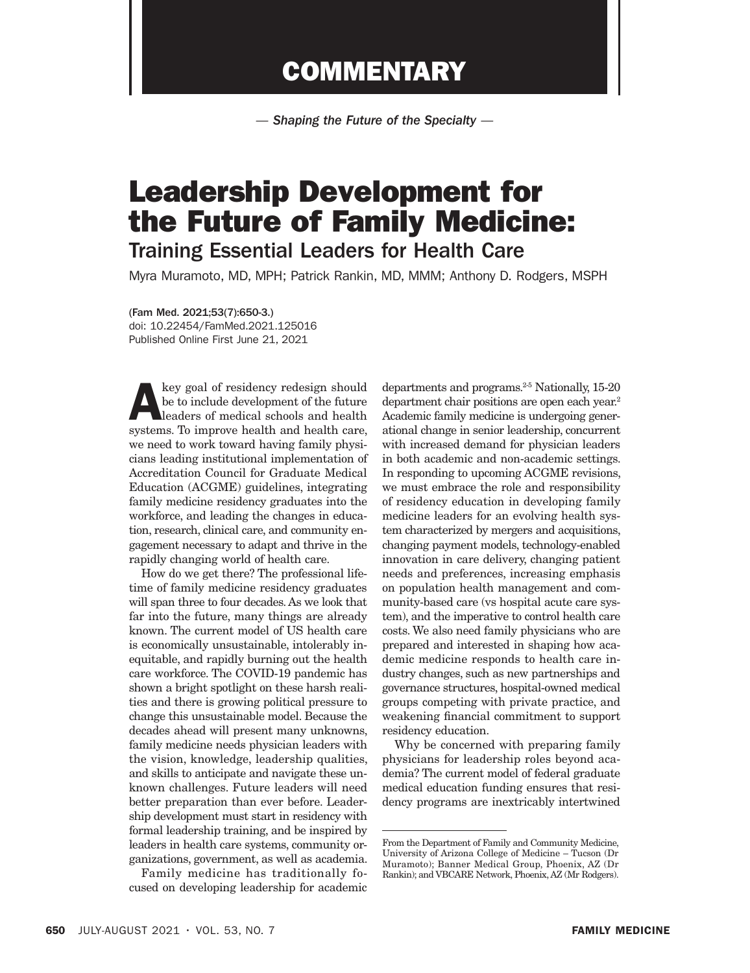## **COMMENTARY**

*— Shaping the Future of the Specialty —*

## Leadership Development for the Future of Family Medicine: Training Essential Leaders for Health Care

Myra Muramoto, MD, MPH; Patrick Rankin, MD, MMM; Anthony D. Rodgers, MSPH

## (Fam Med. 2021;53(7):650-3.)

doi: 10.22454/FamMed.2021.125016 Published Online First June 21, 2021

key goal of residency redesign should<br>be to include development of the future<br>leaders of medical schools and health<br>systems To improve health and health care be to include development of the future leaders of medical schools and health systems. To improve health and health care, we need to work toward having family physicians leading institutional implementation of Accreditation Council for Graduate Medical Education (ACGME) guidelines, integrating family medicine residency graduates into the workforce, and leading the changes in education, research, clinical care, and community engagement necessary to adapt and thrive in the rapidly changing world of health care.

How do we get there? The professional lifetime of family medicine residency graduates will span three to four decades. As we look that far into the future, many things are already known. The current model of US health care is economically unsustainable, intolerably inequitable, and rapidly burning out the health care workforce. The COVID-19 pandemic has shown a bright spotlight on these harsh realities and there is growing political pressure to change this unsustainable model. Because the decades ahead will present many unknowns, family medicine needs physician leaders with the vision, knowledge, leadership qualities, and skills to anticipate and navigate these unknown challenges. Future leaders will need better preparation than ever before. Leadership development must start in residency with formal leadership training, and be inspired by leaders in health care systems, community organizations, government, as well as academia.

Family medicine has traditionally focused on developing leadership for academic

departments and programs.2-5 Nationally, 15-20 department chair positions are open each year.<sup>2</sup> Academic family medicine is undergoing generational change in senior leadership, concurrent with increased demand for physician leaders in both academic and non-academic settings. In responding to upcoming ACGME revisions, we must embrace the role and responsibility of residency education in developing family medicine leaders for an evolving health system characterized by mergers and acquisitions, changing payment models, technology-enabled innovation in care delivery, changing patient needs and preferences, increasing emphasis on population health management and community-based care (vs hospital acute care system), and the imperative to control health care costs. We also need family physicians who are prepared and interested in shaping how academic medicine responds to health care industry changes, such as new partnerships and governance structures, hospital-owned medical groups competing with private practice, and weakening financial commitment to support residency education.

Why be concerned with preparing family physicians for leadership roles beyond academia? The current model of federal graduate medical education funding ensures that residency programs are inextricably intertwined

From the Department of Family and Community Medicine, University of Arizona College of Medicine – Tucson (Dr Muramoto); Banner Medical Group, Phoenix, AZ (Dr Rankin); and VBCARE Network, Phoenix, AZ (Mr Rodgers).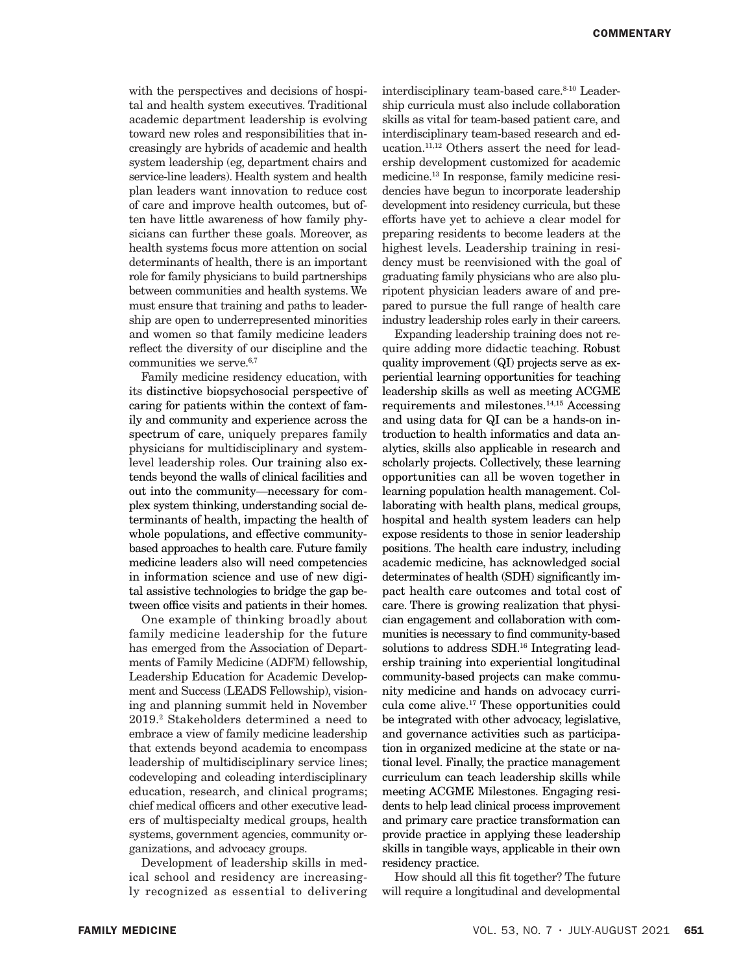with the perspectives and decisions of hospital and health system executives. Traditional academic department leadership is evolving toward new roles and responsibilities that increasingly are hybrids of academic and health system leadership (eg, department chairs and service-line leaders). Health system and health plan leaders want innovation to reduce cost of care and improve health outcomes, but often have little awareness of how family physicians can further these goals. Moreover, as health systems focus more attention on social determinants of health, there is an important role for family physicians to build partnerships between communities and health systems. We must ensure that training and paths to leadership are open to underrepresented minorities and women so that family medicine leaders reflect the diversity of our discipline and the communities we serve.<sup>6,7</sup>

Family medicine residency education, with its distinctive biopsychosocial perspective of caring for patients within the context of family and community and experience across the spectrum of care, uniquely prepares family physicians for multidisciplinary and systemlevel leadership roles. Our training also extends beyond the walls of clinical facilities and out into the community—necessary for complex system thinking, understanding social determinants of health, impacting the health of whole populations, and effective communitybased approaches to health care. Future family medicine leaders also will need competencies in information science and use of new digital assistive technologies to bridge the gap between office visits and patients in their homes.

One example of thinking broadly about family medicine leadership for the future has emerged from the Association of Departments of Family Medicine (ADFM) fellowship, Leadership Education for Academic Development and Success (LEADS Fellowship), visioning and planning summit held in November 2019.2 Stakeholders determined a need to embrace a view of family medicine leadership that extends beyond academia to encompass leadership of multidisciplinary service lines; codeveloping and coleading interdisciplinary education, research, and clinical programs; chief medical officers and other executive leaders of multispecialty medical groups, health systems, government agencies, community organizations, and advocacy groups.

Development of leadership skills in medical school and residency are increasingly recognized as essential to delivering interdisciplinary team-based care.<sup>8-10</sup> Leadership curricula must also include collaboration skills as vital for team-based patient care, and interdisciplinary team-based research and education.11,12 Others assert the need for leadership development customized for academic medicine.13 In response, family medicine residencies have begun to incorporate leadership development into residency curricula, but these efforts have yet to achieve a clear model for preparing residents to become leaders at the highest levels. Leadership training in residency must be reenvisioned with the goal of graduating family physicians who are also pluripotent physician leaders aware of and prepared to pursue the full range of health care industry leadership roles early in their careers.

Expanding leadership training does not require adding more didactic teaching. Robust quality improvement (QI) projects serve as experiential learning opportunities for teaching leadership skills as well as meeting ACGME requirements and milestones. $14,15$  Accessing and using data for QI can be a hands-on introduction to health informatics and data analytics, skills also applicable in research and scholarly projects. Collectively, these learning opportunities can all be woven together in learning population health management. Collaborating with health plans, medical groups, hospital and health system leaders can help expose residents to those in senior leadership positions. The health care industry, including academic medicine, has acknowledged social determinates of health (SDH) significantly impact health care outcomes and total cost of care. There is growing realization that physician engagement and collaboration with communities is necessary to find community-based solutions to address SDH.<sup>16</sup> Integrating leadership training into experiential longitudinal community-based projects can make community medicine and hands on advocacy curricula come alive.17 These opportunities could be integrated with other advocacy, legislative, and governance activities such as participation in organized medicine at the state or national level. Finally, the practice management curriculum can teach leadership skills while meeting ACGME Milestones. Engaging residents to help lead clinical process improvement and primary care practice transformation can provide practice in applying these leadership skills in tangible ways, applicable in their own residency practice.

How should all this fit together? The future will require a longitudinal and developmental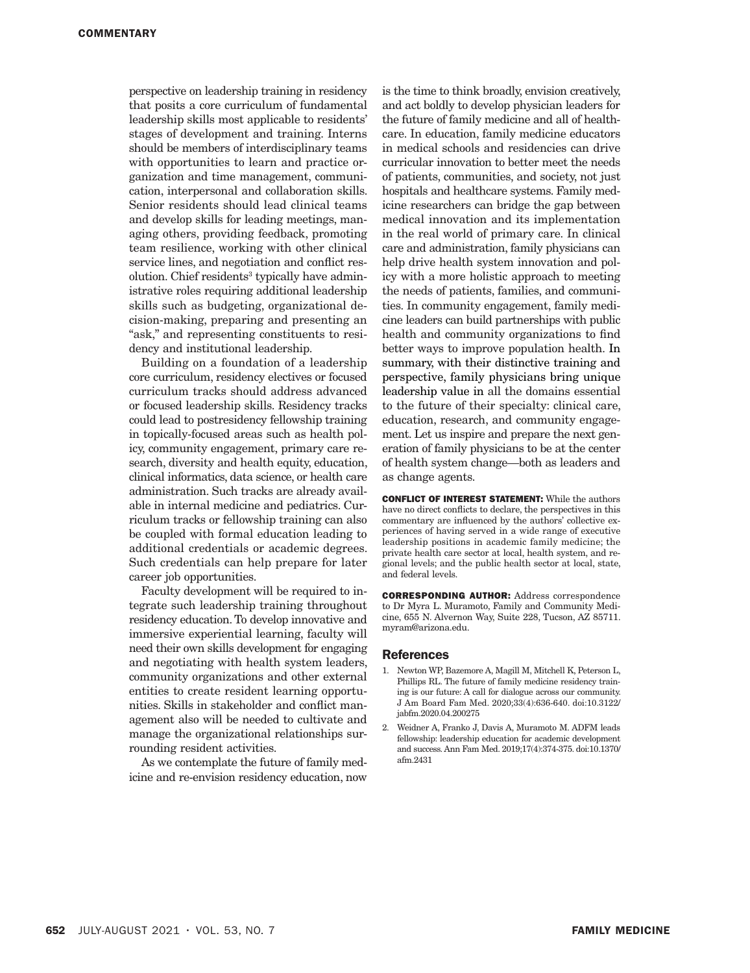perspective on leadership training in residency that posits a core curriculum of fundamental leadership skills most applicable to residents' stages of development and training. Interns should be members of interdisciplinary teams with opportunities to learn and practice organization and time management, communication, interpersonal and collaboration skills. Senior residents should lead clinical teams and develop skills for leading meetings, managing others, providing feedback, promoting team resilience, working with other clinical service lines, and negotiation and conflict resolution. Chief residents<sup>3</sup> typically have administrative roles requiring additional leadership skills such as budgeting, organizational decision-making, preparing and presenting an "ask," and representing constituents to residency and institutional leadership.

Building on a foundation of a leadership core curriculum, residency electives or focused curriculum tracks should address advanced or focused leadership skills. Residency tracks could lead to postresidency fellowship training in topically-focused areas such as health policy, community engagement, primary care research, diversity and health equity, education, clinical informatics, data science, or health care administration. Such tracks are already available in internal medicine and pediatrics. Curriculum tracks or fellowship training can also be coupled with formal education leading to additional credentials or academic degrees. Such credentials can help prepare for later career job opportunities.

Faculty development will be required to integrate such leadership training throughout residency education. To develop innovative and immersive experiential learning, faculty will need their own skills development for engaging and negotiating with health system leaders, community organizations and other external entities to create resident learning opportunities. Skills in stakeholder and conflict management also will be needed to cultivate and manage the organizational relationships surrounding resident activities.

As we contemplate the future of family medicine and re-envision residency education, now is the time to think broadly, envision creatively, and act boldly to develop physician leaders for the future of family medicine and all of healthcare. In education, family medicine educators in medical schools and residencies can drive curricular innovation to better meet the needs of patients, communities, and society, not just hospitals and healthcare systems. Family medicine researchers can bridge the gap between medical innovation and its implementation in the real world of primary care. In clinical care and administration, family physicians can help drive health system innovation and policy with a more holistic approach to meeting the needs of patients, families, and communities. In community engagement, family medicine leaders can build partnerships with public health and community organizations to find better ways to improve population health. In summary, with their distinctive training and perspective, family physicians bring unique leadership value in all the domains essential to the future of their specialty: clinical care, education, research, and community engagement. Let us inspire and prepare the next generation of family physicians to be at the center of health system change—both as leaders and as change agents.

CONFLICT OF INTEREST STATEMENT: While the authors have no direct conflicts to declare, the perspectives in this commentary are influenced by the authors' collective experiences of having served in a wide range of executive leadership positions in academic family medicine; the private health care sector at local, health system, and regional levels; and the public health sector at local, state, and federal levels.

CORRESPONDING AUTHOR: Address correspondence to Dr Myra L. Muramoto, Family and Community Medicine, 655 N. Alvernon Way, Suite 228, Tucson, AZ 85711. myram@arizona.edu.

## References

- 1. Newton WP, Bazemore A, Magill M, Mitchell K, Peterson L, Phillips RL. The future of family medicine residency training is our future: A call for dialogue across our community. J Am Board Fam Med. 2020;33(4):636-640. doi:10.3122/ jabfm.2020.04.200275
- 2. Weidner A, Franko J, Davis A, Muramoto M, ADFM leads fellowship: leadership education for academic development and success. Ann Fam Med. 2019;17(4):374-375. doi:10.1370/ afm.2431